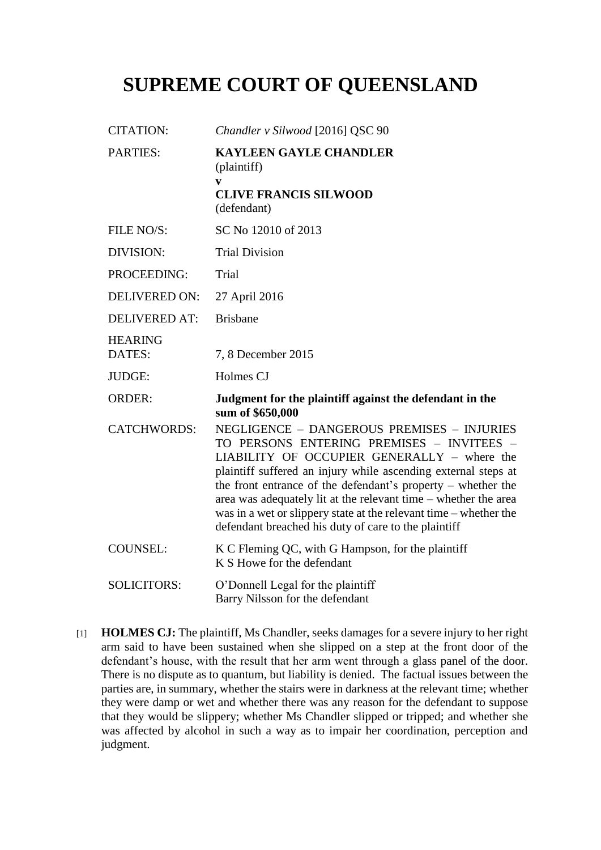# **SUPREME COURT OF QUEENSLAND**

| <b>CITATION:</b>         | Chandler v Silwood [2016] QSC 90                                                                                                                                                                                                                                                                                                                                                                                                                                           |
|--------------------------|----------------------------------------------------------------------------------------------------------------------------------------------------------------------------------------------------------------------------------------------------------------------------------------------------------------------------------------------------------------------------------------------------------------------------------------------------------------------------|
| PARTIES:                 | <b>KAYLEEN GAYLE CHANDLER</b><br>(plaintiff)<br>V<br><b>CLIVE FRANCIS SILWOOD</b>                                                                                                                                                                                                                                                                                                                                                                                          |
|                          | (defendant)                                                                                                                                                                                                                                                                                                                                                                                                                                                                |
| FILE NO/S:               | SC No 12010 of 2013                                                                                                                                                                                                                                                                                                                                                                                                                                                        |
| DIVISION:                | <b>Trial Division</b>                                                                                                                                                                                                                                                                                                                                                                                                                                                      |
| PROCEEDING:              | Trial                                                                                                                                                                                                                                                                                                                                                                                                                                                                      |
| <b>DELIVERED ON:</b>     | 27 April 2016                                                                                                                                                                                                                                                                                                                                                                                                                                                              |
| <b>DELIVERED AT:</b>     | <b>Brisbane</b>                                                                                                                                                                                                                                                                                                                                                                                                                                                            |
| <b>HEARING</b><br>DATES: | 7, 8 December 2015                                                                                                                                                                                                                                                                                                                                                                                                                                                         |
| JUDGE:                   | Holmes CJ                                                                                                                                                                                                                                                                                                                                                                                                                                                                  |
| <b>ORDER:</b>            | Judgment for the plaintiff against the defendant in the<br>sum of \$650,000                                                                                                                                                                                                                                                                                                                                                                                                |
| <b>CATCHWORDS:</b>       | NEGLIGENCE - DANGEROUS PREMISES - INJURIES<br>TO PERSONS ENTERING PREMISES - INVITEES -<br>LIABILITY OF OCCUPIER GENERALLY - where the<br>plaintiff suffered an injury while ascending external steps at<br>the front entrance of the defendant's property $-$ whether the<br>area was adequately lit at the relevant time – whether the area<br>was in a wet or slippery state at the relevant time – whether the<br>defendant breached his duty of care to the plaintiff |
| <b>COUNSEL:</b>          | K C Fleming QC, with G Hampson, for the plaintiff<br>K S Howe for the defendant                                                                                                                                                                                                                                                                                                                                                                                            |
| <b>SOLICITORS:</b>       | O'Donnell Legal for the plaintiff<br>Barry Nilsson for the defendant                                                                                                                                                                                                                                                                                                                                                                                                       |

[1] **HOLMES CJ:** The plaintiff, Ms Chandler, seeks damages for a severe injury to her right arm said to have been sustained when she slipped on a step at the front door of the defendant's house, with the result that her arm went through a glass panel of the door. There is no dispute as to quantum, but liability is denied. The factual issues between the parties are, in summary, whether the stairs were in darkness at the relevant time; whether they were damp or wet and whether there was any reason for the defendant to suppose that they would be slippery; whether Ms Chandler slipped or tripped; and whether she was affected by alcohol in such a way as to impair her coordination, perception and judgment.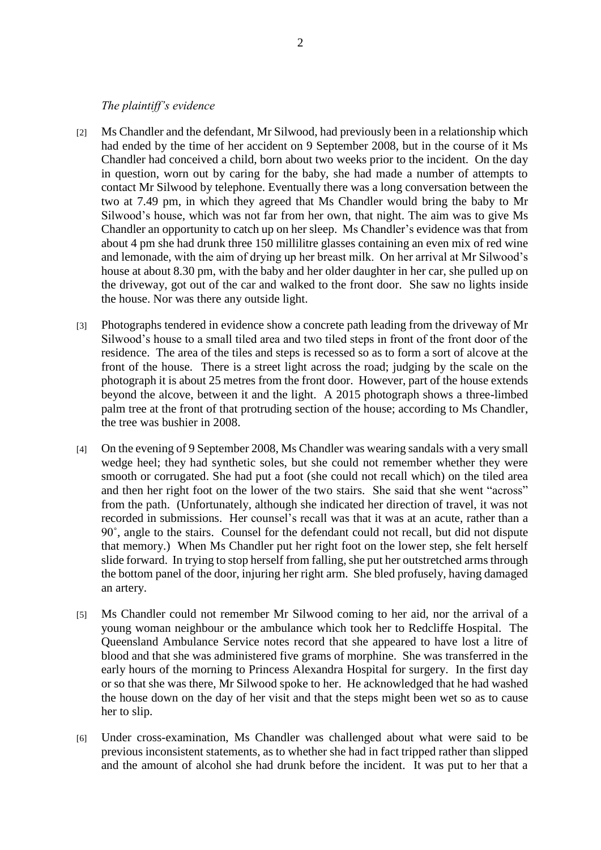#### *The plaintiff's evidence*

- [2] Ms Chandler and the defendant, Mr Silwood, had previously been in a relationship which had ended by the time of her accident on 9 September 2008, but in the course of it Ms Chandler had conceived a child, born about two weeks prior to the incident. On the day in question, worn out by caring for the baby, she had made a number of attempts to contact Mr Silwood by telephone. Eventually there was a long conversation between the two at 7.49 pm, in which they agreed that Ms Chandler would bring the baby to Mr Silwood's house, which was not far from her own, that night. The aim was to give Ms Chandler an opportunity to catch up on her sleep. Ms Chandler's evidence was that from about 4 pm she had drunk three 150 millilitre glasses containing an even mix of red wine and lemonade, with the aim of drying up her breast milk. On her arrival at Mr Silwood's house at about 8.30 pm, with the baby and her older daughter in her car, she pulled up on the driveway, got out of the car and walked to the front door. She saw no lights inside the house. Nor was there any outside light.
- [3] Photographs tendered in evidence show a concrete path leading from the driveway of Mr Silwood's house to a small tiled area and two tiled steps in front of the front door of the residence. The area of the tiles and steps is recessed so as to form a sort of alcove at the front of the house. There is a street light across the road; judging by the scale on the photograph it is about 25 metres from the front door. However, part of the house extends beyond the alcove, between it and the light. A 2015 photograph shows a three-limbed palm tree at the front of that protruding section of the house; according to Ms Chandler, the tree was bushier in 2008.
- [4] On the evening of 9 September 2008, Ms Chandler was wearing sandals with a very small wedge heel; they had synthetic soles, but she could not remember whether they were smooth or corrugated. She had put a foot (she could not recall which) on the tiled area and then her right foot on the lower of the two stairs. She said that she went "across" from the path. (Unfortunately, although she indicated her direction of travel, it was not recorded in submissions. Her counsel's recall was that it was at an acute, rather than a 90˚, angle to the stairs. Counsel for the defendant could not recall, but did not dispute that memory.) When Ms Chandler put her right foot on the lower step, she felt herself slide forward. In trying to stop herself from falling, she put her outstretched armsthrough the bottom panel of the door, injuring her right arm. She bled profusely, having damaged an artery.
- [5] Ms Chandler could not remember Mr Silwood coming to her aid, nor the arrival of a young woman neighbour or the ambulance which took her to Redcliffe Hospital. The Queensland Ambulance Service notes record that she appeared to have lost a litre of blood and that she was administered five grams of morphine. She was transferred in the early hours of the morning to Princess Alexandra Hospital for surgery. In the first day or so that she was there, Mr Silwood spoke to her. He acknowledged that he had washed the house down on the day of her visit and that the steps might been wet so as to cause her to slip.
- [6] Under cross-examination, Ms Chandler was challenged about what were said to be previous inconsistent statements, as to whether she had in fact tripped rather than slipped and the amount of alcohol she had drunk before the incident. It was put to her that a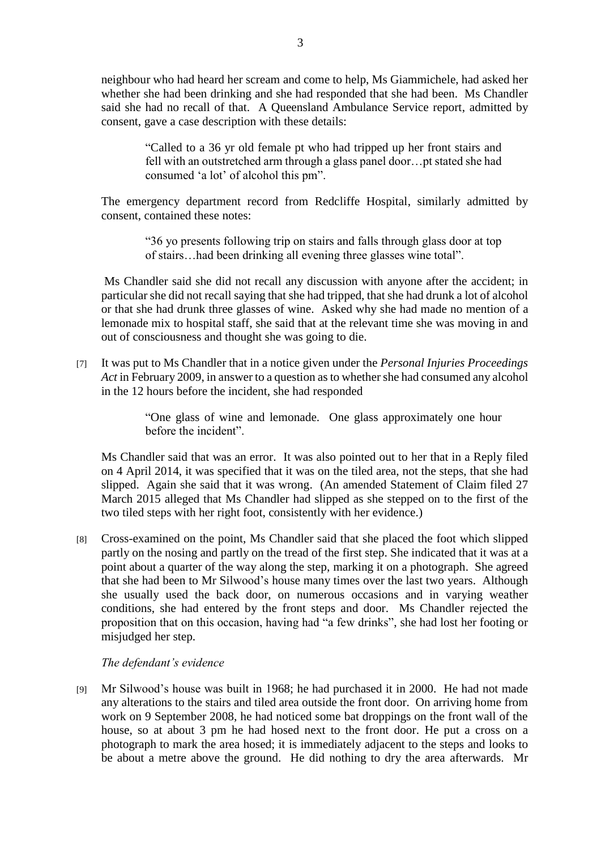neighbour who had heard her scream and come to help, Ms Giammichele, had asked her whether she had been drinking and she had responded that she had been. Ms Chandler said she had no recall of that. A Queensland Ambulance Service report, admitted by consent, gave a case description with these details:

> "Called to a 36 yr old female pt who had tripped up her front stairs and fell with an outstretched arm through a glass panel door…pt stated she had consumed 'a lot' of alcohol this pm".

The emergency department record from Redcliffe Hospital, similarly admitted by consent, contained these notes:

> "36 yo presents following trip on stairs and falls through glass door at top of stairs…had been drinking all evening three glasses wine total".

Ms Chandler said she did not recall any discussion with anyone after the accident; in particular she did not recall saying that she had tripped, that she had drunk a lot of alcohol or that she had drunk three glasses of wine. Asked why she had made no mention of a lemonade mix to hospital staff, she said that at the relevant time she was moving in and out of consciousness and thought she was going to die.

[7] It was put to Ms Chandler that in a notice given under the *Personal Injuries Proceedings Act* in February 2009, in answer to a question as to whether she had consumed any alcohol in the 12 hours before the incident, she had responded

> "One glass of wine and lemonade. One glass approximately one hour before the incident".

Ms Chandler said that was an error. It was also pointed out to her that in a Reply filed on 4 April 2014, it was specified that it was on the tiled area, not the steps, that she had slipped. Again she said that it was wrong. (An amended Statement of Claim filed 27 March 2015 alleged that Ms Chandler had slipped as she stepped on to the first of the two tiled steps with her right foot, consistently with her evidence.)

[8] Cross-examined on the point, Ms Chandler said that she placed the foot which slipped partly on the nosing and partly on the tread of the first step. She indicated that it was at a point about a quarter of the way along the step, marking it on a photograph. She agreed that she had been to Mr Silwood's house many times over the last two years. Although she usually used the back door, on numerous occasions and in varying weather conditions, she had entered by the front steps and door. Ms Chandler rejected the proposition that on this occasion, having had "a few drinks", she had lost her footing or misjudged her step.

# *The defendant's evidence*

[9] Mr Silwood's house was built in 1968; he had purchased it in 2000. He had not made any alterations to the stairs and tiled area outside the front door. On arriving home from work on 9 September 2008, he had noticed some bat droppings on the front wall of the house, so at about 3 pm he had hosed next to the front door. He put a cross on a photograph to mark the area hosed; it is immediately adjacent to the steps and looks to be about a metre above the ground. He did nothing to dry the area afterwards. Mr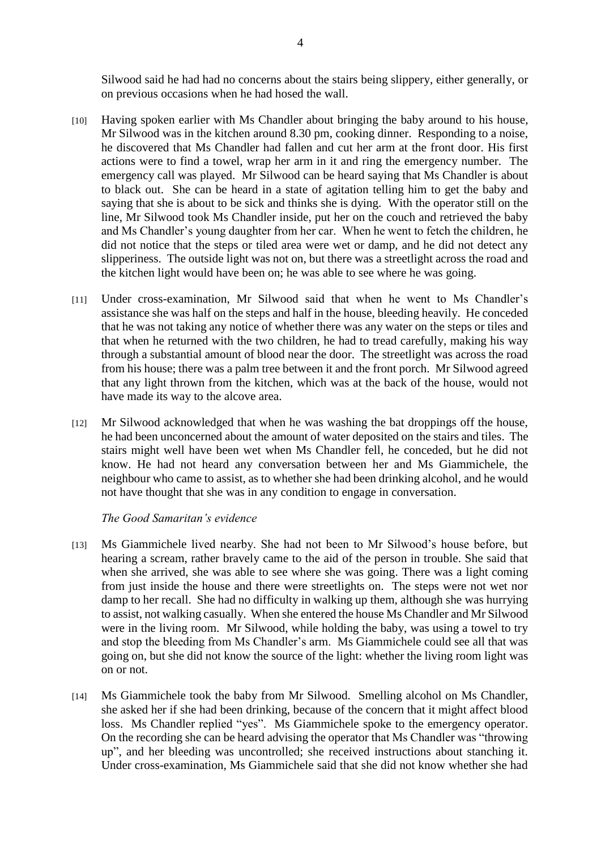Silwood said he had had no concerns about the stairs being slippery, either generally, or on previous occasions when he had hosed the wall.

- [10] Having spoken earlier with Ms Chandler about bringing the baby around to his house, Mr Silwood was in the kitchen around 8.30 pm, cooking dinner. Responding to a noise, he discovered that Ms Chandler had fallen and cut her arm at the front door. His first actions were to find a towel, wrap her arm in it and ring the emergency number. The emergency call was played. Mr Silwood can be heard saying that Ms Chandler is about to black out. She can be heard in a state of agitation telling him to get the baby and saying that she is about to be sick and thinks she is dying. With the operator still on the line, Mr Silwood took Ms Chandler inside, put her on the couch and retrieved the baby and Ms Chandler's young daughter from her car. When he went to fetch the children, he did not notice that the steps or tiled area were wet or damp, and he did not detect any slipperiness. The outside light was not on, but there was a streetlight across the road and the kitchen light would have been on; he was able to see where he was going.
- [11] Under cross-examination, Mr Silwood said that when he went to Ms Chandler's assistance she was half on the steps and half in the house, bleeding heavily. He conceded that he was not taking any notice of whether there was any water on the steps or tiles and that when he returned with the two children, he had to tread carefully, making his way through a substantial amount of blood near the door. The streetlight was across the road from his house; there was a palm tree between it and the front porch. Mr Silwood agreed that any light thrown from the kitchen, which was at the back of the house, would not have made its way to the alcove area.
- [12] Mr Silwood acknowledged that when he was washing the bat droppings off the house, he had been unconcerned about the amount of water deposited on the stairs and tiles. The stairs might well have been wet when Ms Chandler fell, he conceded, but he did not know. He had not heard any conversation between her and Ms Giammichele, the neighbour who came to assist, as to whether she had been drinking alcohol, and he would not have thought that she was in any condition to engage in conversation.

#### *The Good Samaritan's evidence*

- [13] Ms Giammichele lived nearby. She had not been to Mr Silwood's house before, but hearing a scream, rather bravely came to the aid of the person in trouble. She said that when she arrived, she was able to see where she was going. There was a light coming from just inside the house and there were streetlights on. The steps were not wet nor damp to her recall. She had no difficulty in walking up them, although she was hurrying to assist, not walking casually. When she entered the house Ms Chandler and Mr Silwood were in the living room. Mr Silwood, while holding the baby, was using a towel to try and stop the bleeding from Ms Chandler's arm. Ms Giammichele could see all that was going on, but she did not know the source of the light: whether the living room light was on or not.
- [14] Ms Giammichele took the baby from Mr Silwood. Smelling alcohol on Ms Chandler, she asked her if she had been drinking, because of the concern that it might affect blood loss. Ms Chandler replied "yes". Ms Giammichele spoke to the emergency operator. On the recording she can be heard advising the operator that Ms Chandler was "throwing up", and her bleeding was uncontrolled; she received instructions about stanching it. Under cross-examination, Ms Giammichele said that she did not know whether she had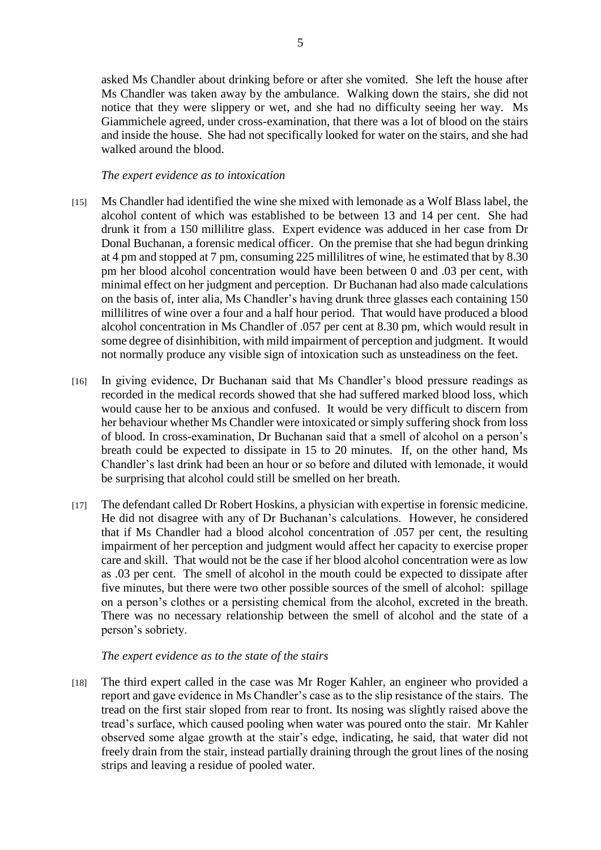asked Ms Chandler about drinking before or after she vomited. She left the house after Ms Chandler was taken away by the ambulance. Walking down the stairs, she did not notice that they were slippery or wet, and she had no difficulty seeing her way. Ms Giammichele agreed, under cross-examination, that there was a lot of blood on the stairs and inside the house. She had not specifically looked for water on the stairs, and she had walked around the blood.

### *The expert evidence as to intoxication*

- [15] Ms Chandler had identified the wine she mixed with lemonade as a Wolf Blass label, the alcohol content of which was established to be between 13 and 14 per cent. She had drunk it from a 150 millilitre glass. Expert evidence was adduced in her case from Dr Donal Buchanan, a forensic medical officer. On the premise that she had begun drinking at 4 pm and stopped at 7 pm, consuming 225 millilitres of wine, he estimated that by 8.30 pm her blood alcohol concentration would have been between 0 and .03 per cent, with minimal effect on her judgment and perception. Dr Buchanan had also made calculations on the basis of, inter alia, Ms Chandler's having drunk three glasses each containing 150 millilitres of wine over a four and a half hour period. That would have produced a blood alcohol concentration in Ms Chandler of .057 per cent at 8.30 pm, which would result in some degree of disinhibition, with mild impairment of perception and judgment. It would not normally produce any visible sign of intoxication such as unsteadiness on the feet.
- [16] In giving evidence, Dr Buchanan said that Ms Chandler's blood pressure readings as recorded in the medical records showed that she had suffered marked blood loss, which would cause her to be anxious and confused. It would be very difficult to discern from her behaviour whether Ms Chandler were intoxicated or simply suffering shock from loss of blood. In cross-examination, Dr Buchanan said that a smell of alcohol on a person's breath could be expected to dissipate in 15 to 20 minutes. If, on the other hand, Ms Chandler's last drink had been an hour or so before and diluted with lemonade, it would be surprising that alcohol could still be smelled on her breath.
- [17] The defendant called Dr Robert Hoskins, a physician with expertise in forensic medicine. He did not disagree with any of Dr Buchanan's calculations. However, he considered that if Ms Chandler had a blood alcohol concentration of .057 per cent, the resulting impairment of her perception and judgment would affect her capacity to exercise proper care and skill. That would not be the case if her blood alcohol concentration were as low as .03 per cent. The smell of alcohol in the mouth could be expected to dissipate after five minutes, but there were two other possible sources of the smell of alcohol: spillage on a person's clothes or a persisting chemical from the alcohol, excreted in the breath. There was no necessary relationship between the smell of alcohol and the state of a person's sobriety.

# *The expert evidence as to the state of the stairs*

[18] The third expert called in the case was Mr Roger Kahler, an engineer who provided a report and gave evidence in Ms Chandler's case as to the slip resistance of the stairs. The tread on the first stair sloped from rear to front. Its nosing was slightly raised above the tread's surface, which caused pooling when water was poured onto the stair. Mr Kahler observed some algae growth at the stair's edge, indicating, he said, that water did not freely drain from the stair, instead partially draining through the grout lines of the nosing strips and leaving a residue of pooled water.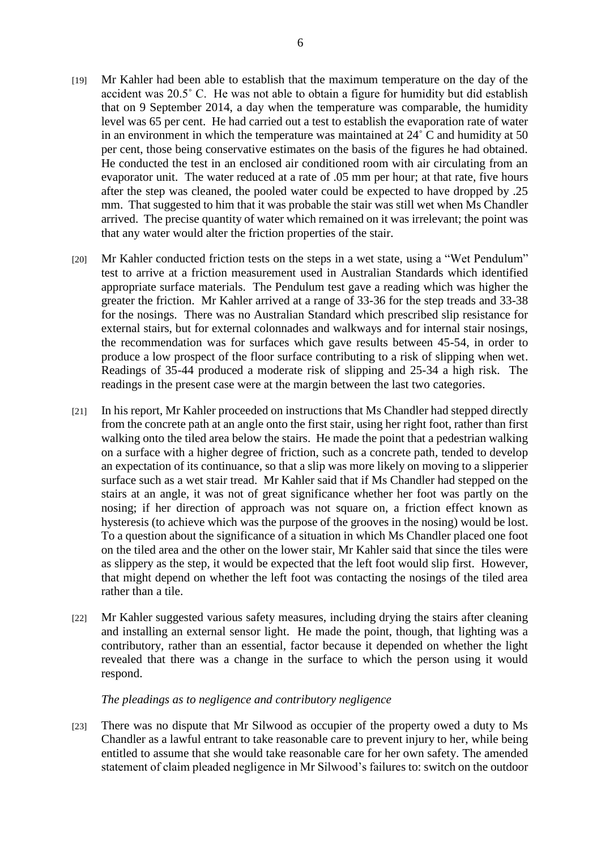- [19] Mr Kahler had been able to establish that the maximum temperature on the day of the accident was 20.5˚ C. He was not able to obtain a figure for humidity but did establish that on 9 September 2014, a day when the temperature was comparable, the humidity level was 65 per cent. He had carried out a test to establish the evaporation rate of water in an environment in which the temperature was maintained at 24˚ C and humidity at 50 per cent, those being conservative estimates on the basis of the figures he had obtained. He conducted the test in an enclosed air conditioned room with air circulating from an evaporator unit. The water reduced at a rate of .05 mm per hour; at that rate, five hours after the step was cleaned, the pooled water could be expected to have dropped by .25 mm. That suggested to him that it was probable the stair was still wet when Ms Chandler arrived. The precise quantity of water which remained on it was irrelevant; the point was that any water would alter the friction properties of the stair.
- [20] Mr Kahler conducted friction tests on the steps in a wet state, using a "Wet Pendulum" test to arrive at a friction measurement used in Australian Standards which identified appropriate surface materials. The Pendulum test gave a reading which was higher the greater the friction. Mr Kahler arrived at a range of 33-36 for the step treads and 33-38 for the nosings. There was no Australian Standard which prescribed slip resistance for external stairs, but for external colonnades and walkways and for internal stair nosings, the recommendation was for surfaces which gave results between 45-54, in order to produce a low prospect of the floor surface contributing to a risk of slipping when wet. Readings of 35-44 produced a moderate risk of slipping and 25-34 a high risk. The readings in the present case were at the margin between the last two categories.
- [21] In his report, Mr Kahler proceeded on instructions that Ms Chandler had stepped directly from the concrete path at an angle onto the first stair, using her right foot, rather than first walking onto the tiled area below the stairs. He made the point that a pedestrian walking on a surface with a higher degree of friction, such as a concrete path, tended to develop an expectation of its continuance, so that a slip was more likely on moving to a slipperier surface such as a wet stair tread. Mr Kahler said that if Ms Chandler had stepped on the stairs at an angle, it was not of great significance whether her foot was partly on the nosing; if her direction of approach was not square on, a friction effect known as hysteresis (to achieve which was the purpose of the grooves in the nosing) would be lost. To a question about the significance of a situation in which Ms Chandler placed one foot on the tiled area and the other on the lower stair, Mr Kahler said that since the tiles were as slippery as the step, it would be expected that the left foot would slip first. However, that might depend on whether the left foot was contacting the nosings of the tiled area rather than a tile.
- [22] Mr Kahler suggested various safety measures, including drying the stairs after cleaning and installing an external sensor light. He made the point, though, that lighting was a contributory, rather than an essential, factor because it depended on whether the light revealed that there was a change in the surface to which the person using it would respond.

#### *The pleadings as to negligence and contributory negligence*

[23] There was no dispute that Mr Silwood as occupier of the property owed a duty to Ms Chandler as a lawful entrant to take reasonable care to prevent injury to her, while being entitled to assume that she would take reasonable care for her own safety. The amended statement of claim pleaded negligence in Mr Silwood's failures to: switch on the outdoor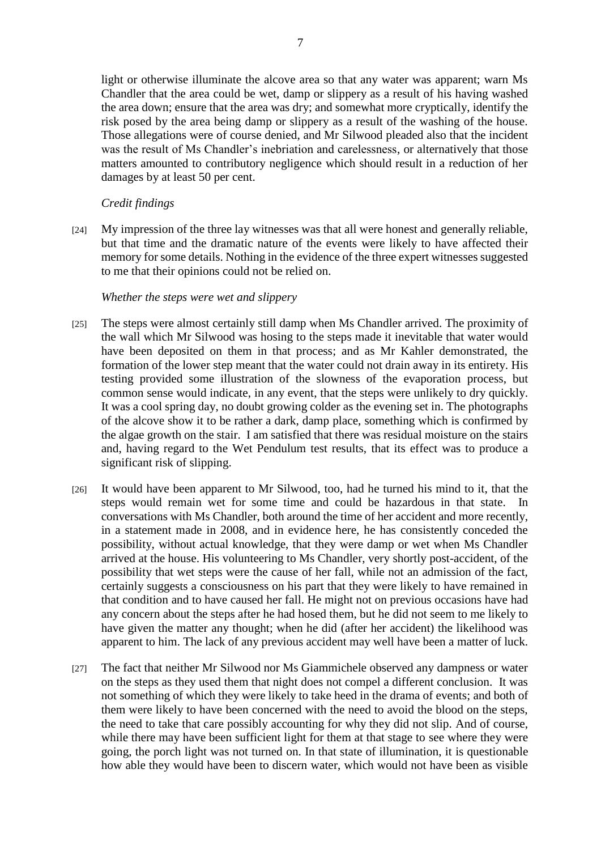light or otherwise illuminate the alcove area so that any water was apparent; warn Ms Chandler that the area could be wet, damp or slippery as a result of his having washed the area down; ensure that the area was dry; and somewhat more cryptically, identify the risk posed by the area being damp or slippery as a result of the washing of the house. Those allegations were of course denied, and Mr Silwood pleaded also that the incident was the result of Ms Chandler's inebriation and carelessness, or alternatively that those matters amounted to contributory negligence which should result in a reduction of her damages by at least 50 per cent.

# *Credit findings*

[24] My impression of the three lay witnesses was that all were honest and generally reliable, but that time and the dramatic nature of the events were likely to have affected their memory for some details. Nothing in the evidence of the three expert witnesses suggested to me that their opinions could not be relied on.

# *Whether the steps were wet and slippery*

- [25] The steps were almost certainly still damp when Ms Chandler arrived. The proximity of the wall which Mr Silwood was hosing to the steps made it inevitable that water would have been deposited on them in that process; and as Mr Kahler demonstrated, the formation of the lower step meant that the water could not drain away in its entirety. His testing provided some illustration of the slowness of the evaporation process, but common sense would indicate, in any event, that the steps were unlikely to dry quickly. It was a cool spring day, no doubt growing colder as the evening set in. The photographs of the alcove show it to be rather a dark, damp place, something which is confirmed by the algae growth on the stair. I am satisfied that there was residual moisture on the stairs and, having regard to the Wet Pendulum test results, that its effect was to produce a significant risk of slipping.
- [26] It would have been apparent to Mr Silwood, too, had he turned his mind to it, that the steps would remain wet for some time and could be hazardous in that state. In conversations with Ms Chandler, both around the time of her accident and more recently, in a statement made in 2008, and in evidence here, he has consistently conceded the possibility, without actual knowledge, that they were damp or wet when Ms Chandler arrived at the house. His volunteering to Ms Chandler, very shortly post-accident, of the possibility that wet steps were the cause of her fall, while not an admission of the fact, certainly suggests a consciousness on his part that they were likely to have remained in that condition and to have caused her fall. He might not on previous occasions have had any concern about the steps after he had hosed them, but he did not seem to me likely to have given the matter any thought; when he did (after her accident) the likelihood was apparent to him. The lack of any previous accident may well have been a matter of luck.
- [27] The fact that neither Mr Silwood nor Ms Giammichele observed any dampness or water on the steps as they used them that night does not compel a different conclusion. It was not something of which they were likely to take heed in the drama of events; and both of them were likely to have been concerned with the need to avoid the blood on the steps, the need to take that care possibly accounting for why they did not slip. And of course, while there may have been sufficient light for them at that stage to see where they were going, the porch light was not turned on. In that state of illumination, it is questionable how able they would have been to discern water, which would not have been as visible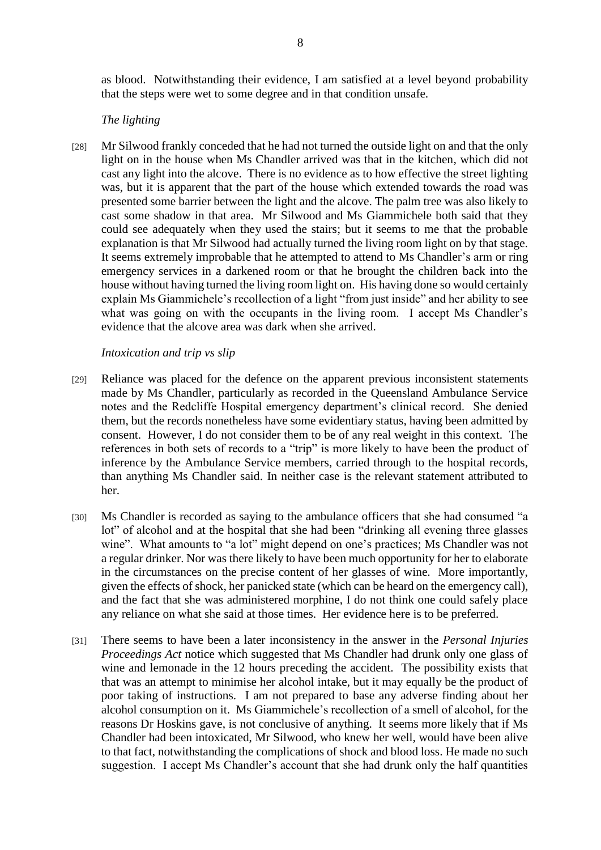as blood. Notwithstanding their evidence, I am satisfied at a level beyond probability that the steps were wet to some degree and in that condition unsafe.

# *The lighting*

[28] Mr Silwood frankly conceded that he had not turned the outside light on and that the only light on in the house when Ms Chandler arrived was that in the kitchen, which did not cast any light into the alcove. There is no evidence as to how effective the street lighting was, but it is apparent that the part of the house which extended towards the road was presented some barrier between the light and the alcove. The palm tree was also likely to cast some shadow in that area. Mr Silwood and Ms Giammichele both said that they could see adequately when they used the stairs; but it seems to me that the probable explanation is that Mr Silwood had actually turned the living room light on by that stage. It seems extremely improbable that he attempted to attend to Ms Chandler's arm or ring emergency services in a darkened room or that he brought the children back into the house without having turned the living room light on. His having done so would certainly explain Ms Giammichele's recollection of a light "from just inside" and her ability to see what was going on with the occupants in the living room. I accept Ms Chandler's evidence that the alcove area was dark when she arrived.

### *Intoxication and trip vs slip*

- [29] Reliance was placed for the defence on the apparent previous inconsistent statements made by Ms Chandler, particularly as recorded in the Queensland Ambulance Service notes and the Redcliffe Hospital emergency department's clinical record. She denied them, but the records nonetheless have some evidentiary status, having been admitted by consent. However, I do not consider them to be of any real weight in this context. The references in both sets of records to a "trip" is more likely to have been the product of inference by the Ambulance Service members, carried through to the hospital records, than anything Ms Chandler said. In neither case is the relevant statement attributed to her.
- [30] Ms Chandler is recorded as saying to the ambulance officers that she had consumed "a lot" of alcohol and at the hospital that she had been "drinking all evening three glasses wine". What amounts to "a lot" might depend on one's practices; Ms Chandler was not a regular drinker. Nor was there likely to have been much opportunity for her to elaborate in the circumstances on the precise content of her glasses of wine. More importantly, given the effects of shock, her panicked state (which can be heard on the emergency call), and the fact that she was administered morphine, I do not think one could safely place any reliance on what she said at those times. Her evidence here is to be preferred.
- [31] There seems to have been a later inconsistency in the answer in the *Personal Injuries Proceedings Act* notice which suggested that Ms Chandler had drunk only one glass of wine and lemonade in the 12 hours preceding the accident. The possibility exists that that was an attempt to minimise her alcohol intake, but it may equally be the product of poor taking of instructions. I am not prepared to base any adverse finding about her alcohol consumption on it. Ms Giammichele's recollection of a smell of alcohol, for the reasons Dr Hoskins gave, is not conclusive of anything. It seems more likely that if Ms Chandler had been intoxicated, Mr Silwood, who knew her well, would have been alive to that fact, notwithstanding the complications of shock and blood loss. He made no such suggestion. I accept Ms Chandler's account that she had drunk only the half quantities